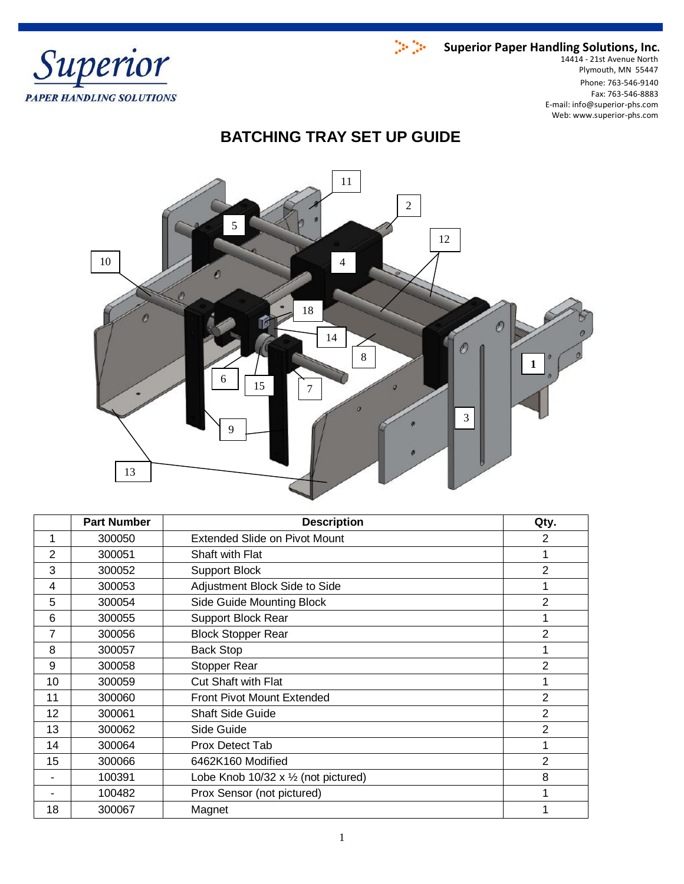

Phone: 763-546-9140 Fax: 763-546-8883 E-mail: info@superior-phs.com Web: www.superior-phs.com 14414 - 21st Avenue North Plymouth, MN 55447

# **BATCHING TRAY SET UP GUIDE**



|                | <b>Part Number</b> | <b>Description</b>                                  | Qty.           |
|----------------|--------------------|-----------------------------------------------------|----------------|
| 1              | 300050             | <b>Extended Slide on Pivot Mount</b>                | 2              |
| $\overline{2}$ | 300051             | Shaft with Flat                                     | 1              |
| 3              | 300052             | <b>Support Block</b>                                | 2              |
| 4              | 300053             | Adjustment Block Side to Side                       | 1              |
| 5              | 300054             | Side Guide Mounting Block                           | 2              |
| 6              | 300055             | <b>Support Block Rear</b>                           | 1              |
| 7              | 300056             | <b>Block Stopper Rear</b>                           | $\overline{2}$ |
| 8              | 300057             | <b>Back Stop</b>                                    | 1              |
| 9              | 300058             | <b>Stopper Rear</b>                                 | $\overline{2}$ |
| 10             | 300059             | <b>Cut Shaft with Flat</b>                          | 1              |
| 11             | 300060             | <b>Front Pivot Mount Extended</b>                   | $\overline{2}$ |
| 12             | 300061             | <b>Shaft Side Guide</b>                             | 2              |
| 13             | 300062             | Side Guide                                          | $\overline{2}$ |
| 14             | 300064             | Prox Detect Tab                                     | 1              |
| 15             | 300066             | 6462K160 Modified                                   | 2              |
|                | 100391             | Lobe Knob $10/32 \times \frac{1}{2}$ (not pictured) | 8              |
|                | 100482             | Prox Sensor (not pictured)                          | 1              |
| 18             | 300067             | Magnet                                              | 1              |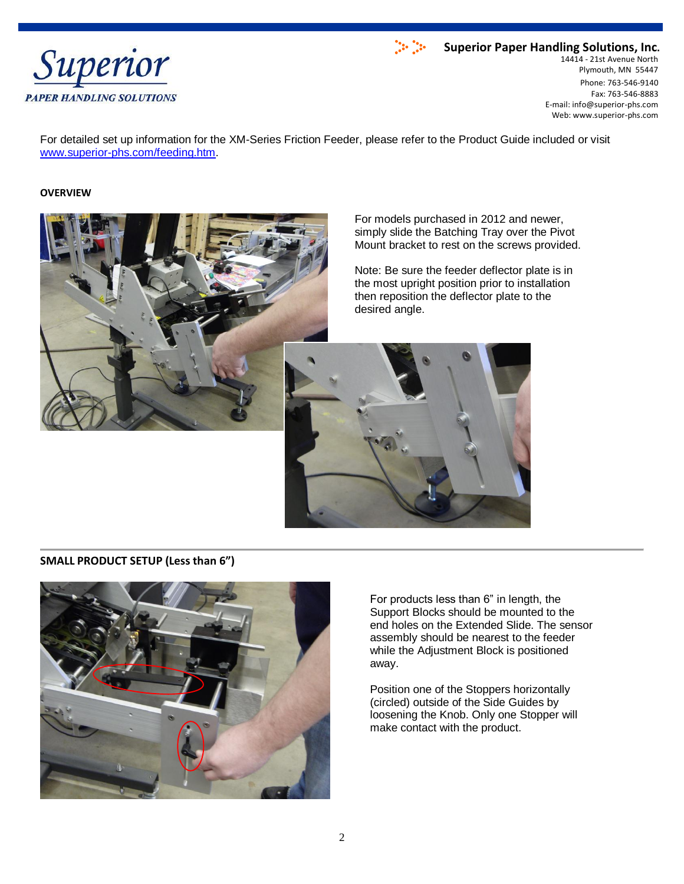



Phone: 763-546-9140 Fax: 763-546-8883 E-mail: info@superior-phs.com Web: www.superior-phs.com 14414 - 21st Avenue North Plymouth, MN 55447

For detailed set up information for the XM-Series Friction Feeder, please refer to the Product Guide included or visit [www.superior-phs.com/feeding.htm.](http://www.superior-phs.com/feeding.htm)

### **OVERVIEW**



For models purchased in 2012 and newer, simply slide the Batching Tray over the Pivot Mount bracket to rest on the screws provided.

Note: Be sure the feeder deflector plate is in the most upright position prior to installation then reposition the deflector plate to the desired angle.



### **SMALL PRODUCT SETUP (Less than 6")**



For products less than 6" in length, the Support Blocks should be mounted to the end holes on the Extended Slide. The sensor assembly should be nearest to the feeder while the Adjustment Block is positioned away.

Position one of the Stoppers horizontally (circled) outside of the Side Guides by loosening the Knob. Only one Stopper will make contact with the product.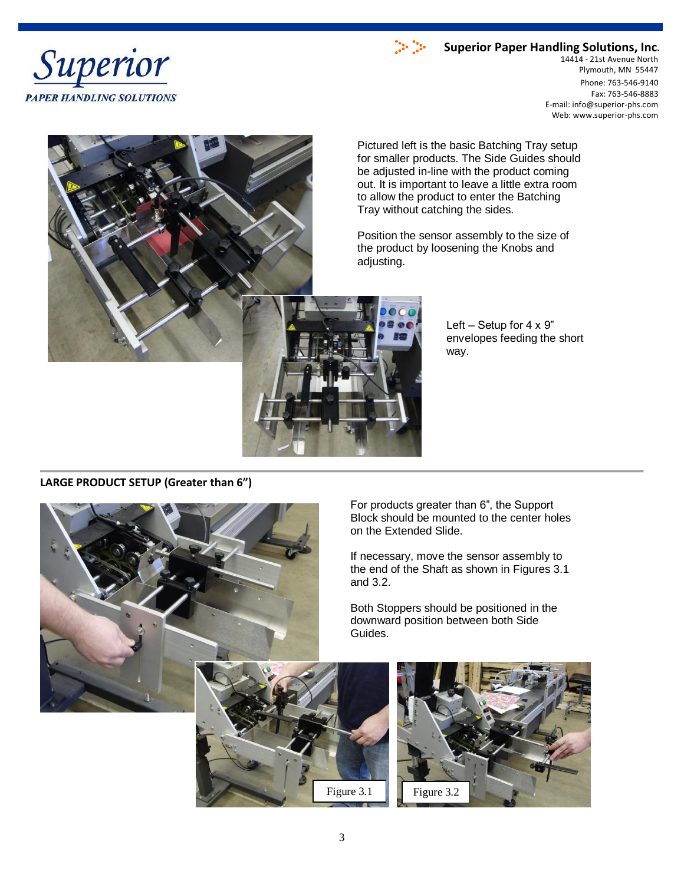



Phone: 763-546-9140 Fax: 763-546-8883 E-mail: info@superior-phs.com Web: www.superior-phs.com 14414 - 21st Avenue North Plymouth, MN 55447



Pictured left is the basic Batching Tray setup for smaller products. The Side Guides should be adjusted in-line with the product coming out. It is important to leave a little extra room to allow the product to enter the Batching Tray without catching the sides.

Position the sensor assembly to the size of the product by loosening the Knobs and adjusting.

> Left – Setup for  $4 \times 9$ " envelopes feeding the short way.

**LARGE PRODUCT SETUP (Greater than 6")**



For products greater than 6", the Support Block should be mounted to the center holes on the Extended Slide.

If necessary, move the sensor assembly to the end of the Shaft as shown in Figures 3.1 and 3.2.

Both Stoppers should be positioned in the downward position between both Side Guides.



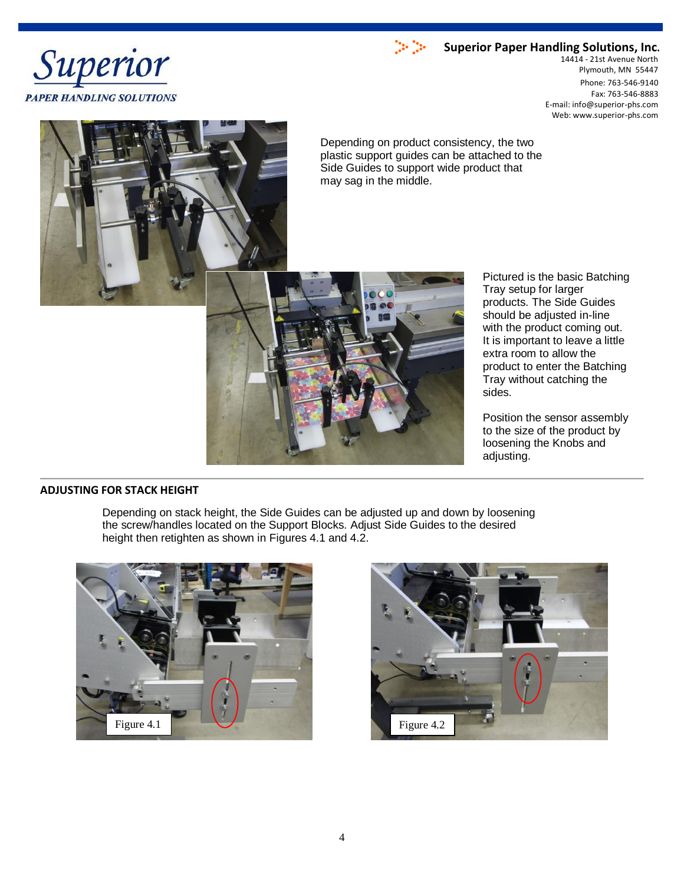



Phone: 763-546-9140 Fax: 763-546-8883 E-mail: info@superior-phs.com Web: www.superior-phs.com 14414 - 21st Avenue North Plymouth, MN 55447



Depending on product consistency, the two plastic support guides can be attached to the Side Guides to support wide product that may sag in the middle.



Pictured is the basic Batching Tray setup for larger products. The Side Guides should be adjusted in-line with the product coming out. It is important to leave a little extra room to allow the product to enter the Batching Tray without catching the sides.

Position the sensor assembly to the size of the product by loosening the Knobs and adjusting.

### **ADJUSTING FOR STACK HEIGHT**

Depending on stack height, the Side Guides can be adjusted up and down by loosening the screw/handles located on the Support Blocks. Adjust Side Guides to the desired height then retighten as shown in Figures 4.1 and 4.2.